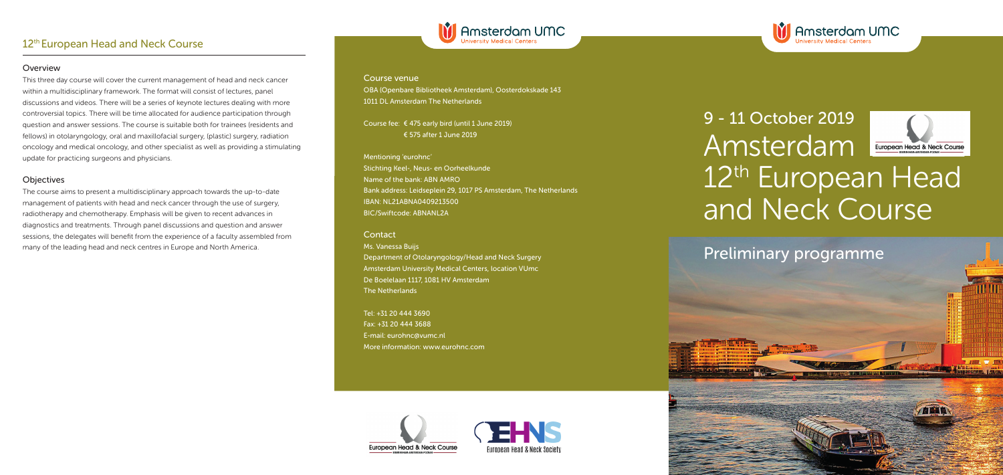### Course venue

OBA (Openbare Bibliotheek Amsterdam), Oosterdokskade 143 1011 DL Amsterdam The Netherlands

M Amsterdam UMC

Course fee: € 475 early bird (until 1 June 2019) € 575 after 1 June 2019

Mentioning 'eurohnc' Stichting Keel-, Neus- en Oorheelkunde Name of the bank: ABN AMRO Bank address: Leidseplein 29, 1017 PS Amsterdam, The Netherlands IBAN: NL21ABNA0409213500 BIC/Swiftcode: ABNANL2A

#### **Contact**

Ms. Vanessa Buijs Department of Otolaryngology/Head and Neck Surgery Amsterdam University Medical Centers, location VUmc De Boelelaan 1117, 1081 HV Amsterdam The Netherlands

Tel: +31 20 444 3690 Fax: +31 20 444 3688 E-mail: eurohnc@vumc.nl More information: www.eurohnc.com









# 9 - 11 October 2019 Amsterdam Europegn Head & Neck Course 12<sup>th</sup> European Head and Neck Course

**ABI** 

Preliminary programme

## 12<sup>th</sup> European Head and Neck Course

#### Overview

This three day course will cover the current management of head and neck cancer within a multidisciplinary framework. The format will consist of lectures, panel discussions and videos. There will be a series of keynote lectures dealing with more controversial topics. There will be time allocated for audience participation through question and answer sessions. The course is suitable both for trainees (residents and fellows) in otolaryngology, oral and maxillofacial surgery, (plastic) surgery, radiation oncology and medical oncology, and other specialist as well as providing a stimulating update for practicing surgeons and physicians.

## **Objectives**

The course aims to present a multidisciplinary approach towards the up-to-date management of patients with head and neck cancer through the use of surgery, radiotherapy and chemotherapy. Emphasis will be given to recent advances in diagnostics and treatments. Through panel discussions and question and answer sessions, the delegates will benefit from the experience of a faculty assembled from many of the leading head and neck centres in Europe and North America.